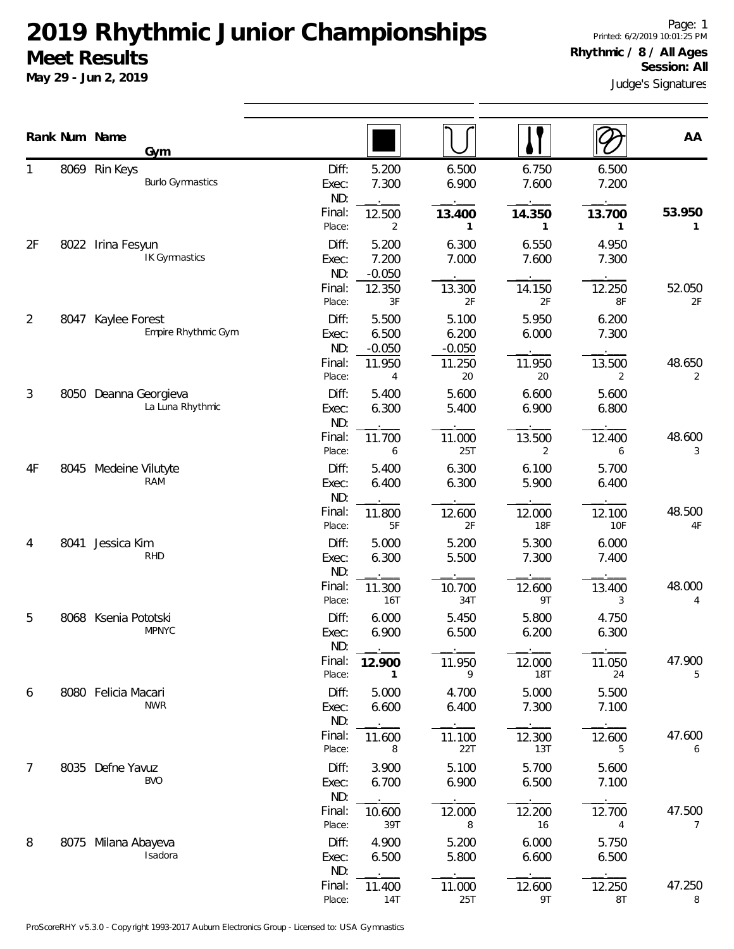|                |      | Rank Num Name         | Gym                     |                       |                            |                            |                      |                | AA           |
|----------------|------|-----------------------|-------------------------|-----------------------|----------------------------|----------------------------|----------------------|----------------|--------------|
|                |      | 8069 Rin Keys         | <b>Burlo Gymnastics</b> | Diff:<br>Exec:<br>ND: | 5.200<br>7.300             | 6.500<br>6.900             | 6.750<br>7.600       | 6.500<br>7.200 |              |
|                |      |                       |                         | Final:<br>Place:      | 12.500<br>2                | 13.400<br>1                | 14.350<br>1          | 13.700<br>1    | 53.950<br>1  |
| 2F             |      | 8022 Irina Fesyun     | IK Gymnastics           | Diff:<br>Exec:<br>ND: | 5.200<br>7.200<br>$-0.050$ | 6.300<br>7.000             | 6.550<br>7.600       | 4.950<br>7.300 |              |
|                |      |                       | Final:<br>Place:        | 12.350<br>3F          | 13.300<br>2F               | 14.150<br>2F               | 12.250<br>8F         | 52.050<br>2F   |              |
| 2              | 8047 | Kaylee Forest         | Empire Rhythmic Gym     | Diff:<br>Exec:<br>ND: | 5.500<br>6.500<br>$-0.050$ | 5.100<br>6.200<br>$-0.050$ | 5.950<br>6.000       | 6.200<br>7.300 |              |
|                |      |                       |                         | Final:<br>Place:      | 11.950<br>4                | 11.250<br>20               | 11.950<br>20         | 13.500<br>2    | 48.650<br>2  |
| 3              | 8050 | Deanna Georgieva      | La Luna Rhythmic        | Diff:<br>Exec:<br>ND: | 5.400<br>6.300             | 5.600<br>5.400             | 6.600<br>6.900       | 5.600<br>6.800 |              |
|                |      |                       |                         | Final:<br>Place:      | 11.700<br>6                | 11.000<br><b>25T</b>       | 13.500<br>2          | 12.400<br>6    | 48.600<br>3  |
| 4F             |      | 8045 Medeine Vilutyte | RAM                     | Diff:<br>Exec:<br>ND: | 5.400<br>6.400             | 6.300<br>6.300             | 6.100<br>5.900       | 5.700<br>6.400 |              |
|                |      |                       |                         | Final:<br>Place:      | 11.800<br>5F               | 12.600<br>2F               | 12.000<br><b>18F</b> | 12.100<br>10F  | 48.500<br>4F |
| 4              | 8041 | Jessica Kim           | <b>RHD</b>              | Diff:<br>Exec:<br>ND: | 5.000<br>6.300             | 5.200<br>5.500             | 5.300<br>7.300       | 6.000<br>7.400 |              |
|                |      |                       |                         | Final:<br>Place:      | 11.300<br>16T              | 10.700<br>34T              | 12.600<br>9T         | 13.400<br>3    | 48.000<br>4  |
| 5              |      | 8068 Ksenia Pototski  | <b>MPNYC</b>            | Diff:<br>Exec:<br>ND: | 6.000<br>6.900             | 5.450<br>6.500             | 5.800<br>6.200       | 4.750<br>6.300 |              |
|                |      |                       |                         | Final:<br>Place:      | 12.900<br>1                | 11.950<br>9                | 12.000<br><b>18T</b> | 11.050<br>24   | 47.900<br>5  |
| 6              |      | 8080 Felicia Macari   | <b>NWR</b>              | Diff:<br>Exec:<br>ND: | 5.000<br>6.600             | 4.700<br>6.400             | 5.000<br>7.300       | 5.500<br>7.100 |              |
|                |      |                       |                         | Final:<br>Place:      | 11.600<br>8                | 11.100<br>22T              | 12.300<br>13T        | 12.600<br>5    | 47.600<br>6  |
| $\overline{7}$ | 8035 | Defne Yavuz           | <b>BVO</b>              | Diff:<br>Exec:<br>ND: | 3.900<br>6.700             | 5.100<br>6.900             | 5.700<br>6.500       | 5.600<br>7.100 |              |
|                |      |                       |                         | Final:<br>Place:      | 10.600<br>39T              | 12.000<br>8                | 12.200<br>16         | 12.700<br>4    | 47.500<br>7  |
| 8              |      | 8075 Milana Abayeva   | Isadora                 | Diff:<br>Exec:<br>ND: | 4.900<br>6.500             | 5.200<br>5.800             | 6.000<br>6.600       | 5.750<br>6.500 |              |
|                |      |                       |                         | Final:<br>Place:      | 11.400<br>14T              | 11.000<br>25T              | 12.600<br>9T         | 12.250<br>8T   | 47.250<br>8  |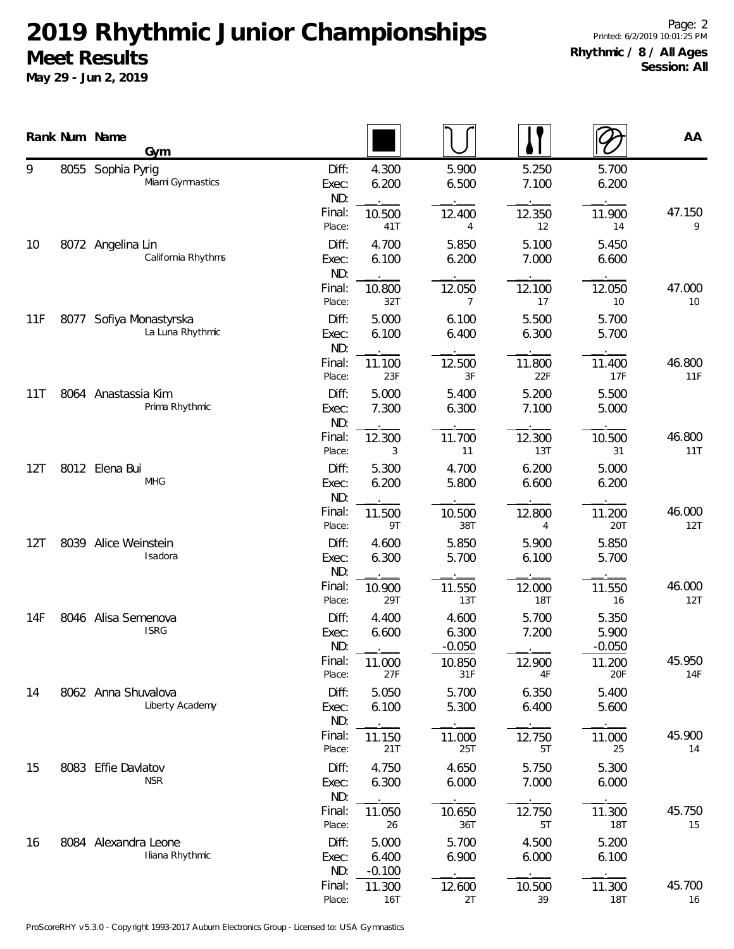|     |      | Rank Num Name<br>Gym                    |                       |                            |                            |                |                            | AA            |
|-----|------|-----------------------------------------|-----------------------|----------------------------|----------------------------|----------------|----------------------------|---------------|
| 9   |      | 8055 Sophia Pyrig<br>Miami Gymnastics   | Diff:<br>Exec:<br>ND: | 4.300<br>6.200             | 5.900<br>6.500             | 5.250<br>7.100 | 5.700<br>6.200             |               |
|     |      |                                         | Final:<br>Place:      | 10.500<br>41T              | 12.400<br>4                | 12.350<br>12   | 11.900<br>14               | 47.150<br>9   |
| 10  |      | 8072 Angelina Lin<br>California Rhythms | Diff:<br>Exec:<br>ND: | 4.700<br>6.100             | 5.850<br>6.200             | 5.100<br>7.000 | 5.450<br>6.600             |               |
|     |      |                                         | Final:<br>Place:      | 10.800<br>32T              | 12.050<br>7                | 12.100<br>17   | 12.050<br>10               | 47.000<br>10  |
| 11F | 8077 | Sofiya Monastyrska<br>La Luna Rhythmic  | Diff:<br>Exec:<br>ND: | 5.000<br>6.100             | 6.100<br>6.400             | 5.500<br>6.300 | 5.700<br>5.700             |               |
|     |      |                                         | Final:<br>Place:      | 11.100<br>23F              | 12.500<br>3F               | 11.800<br>22F  | 11.400<br>17F              | 46.800<br>11F |
| 11T |      | 8064 Anastassia Kim<br>Prima Rhythmic   | Diff:<br>Exec:<br>ND: | 5.000<br>7.300             | 5.400<br>6.300             | 5.200<br>7.100 | 5.500<br>5.000             |               |
|     |      |                                         | Final:<br>Place:      | 12.300<br>3                | 11.700<br>11               | 12.300<br>13T  | 10.500<br>31               | 46.800<br>11T |
| 12T |      | 8012 Elena Bui<br><b>MHG</b>            | Diff:<br>Exec:<br>ND: | 5.300<br>6.200             | 4.700<br>5.800             | 6.200<br>6.600 | 5.000<br>6.200             |               |
|     |      |                                         | Final:<br>Place:      | 11.500<br>9T               | 10.500<br>38T              | 12.800<br>4    | 11.200<br>20T              | 46.000<br>12T |
| 12T | 8039 | Alice Weinstein<br>Isadora              | Diff:<br>Exec:<br>ND: | 4.600<br>6.300             | 5.850<br>5.700             | 5.900<br>6.100 | 5.850<br>5.700             |               |
|     |      |                                         | Final:<br>Place:      | 10.900<br>29T              | 11.550<br>13T              | 12.000<br>18T  | 11.550<br>16               | 46.000<br>12T |
| 14F |      | 8046 Alisa Semenova<br><b>ISRG</b>      | Diff:<br>Exec:<br>ND: | 4.400<br>6.600             | 4.600<br>6.300<br>$-0.050$ | 5.700<br>7.200 | 5.350<br>5.900<br>$-0.050$ |               |
|     |      |                                         | Final:<br>Place:      | 11.000<br>27F              | 10.850<br>31F              | 12.900<br>4F   | 11.200<br>20F              | 45.950<br>14F |
| 14  |      | 8062 Anna Shuvalova<br>Liberty Academy  | Diff:<br>Exec:<br>ND: | 5.050<br>6.100             | 5.700<br>5.300             | 6.350<br>6.400 | 5.400<br>5.600             |               |
|     |      |                                         | Final:<br>Place:      | 11.150<br>21T              | 11.000<br>25T              | 12.750<br>5T   | 11.000<br>25               | 45.900<br>14  |
| 15  |      | 8083 Effie Davlatov<br><b>NSR</b>       | Diff:<br>Exec:<br>ND: | 4.750<br>6.300             | 4.650<br>6.000             | 5.750<br>7.000 | 5.300<br>6.000             |               |
|     |      |                                         | Final:<br>Place:      | 11.050<br>26               | 10.650<br>36T              | 12.750<br>5T   | 11.300<br><b>18T</b>       | 45.750<br>15  |
| 16  |      | 8084 Alexandra Leone<br>Iliana Rhythmic | Diff:<br>Exec:<br>ND: | 5.000<br>6.400<br>$-0.100$ | 5.700<br>6.900             | 4.500<br>6.000 | 5.200<br>6.100             |               |
|     |      |                                         | Final:<br>Place:      | 11.300<br>16T              | 12.600<br>2T               | 10.500<br>39   | 11.300<br>18T              | 45.700<br>16  |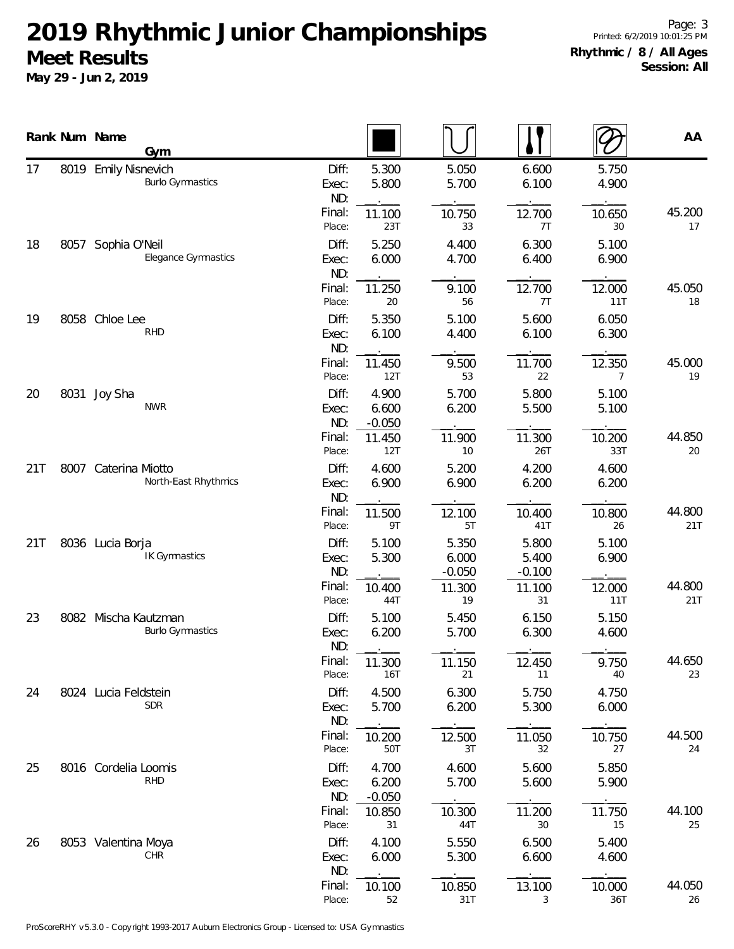**May 29 - Jun 2, 2019**

|     |      | Rank Num Name<br>Gym                            |                       |                            |                            |                            |                | AA            |
|-----|------|-------------------------------------------------|-----------------------|----------------------------|----------------------------|----------------------------|----------------|---------------|
| 17  |      | 8019 Emily Nisnevich<br><b>Burlo Gymnastics</b> | Diff:<br>Exec:<br>ND: | 5.300<br>5.800             | 5.050<br>5.700             | 6.600<br>6.100             | 5.750<br>4.900 |               |
|     |      |                                                 | Final:<br>Place:      | 11.100<br>23T              | 10.750<br>33               | 12.700<br>7T               | 10.650<br>30   | 45.200<br>17  |
| 18  | 8057 | Sophia O'Neil<br>Elegance Gymnastics            | Diff:<br>Exec:<br>ND: | 5.250<br>6.000             | 4.400<br>4.700             | 6.300<br>6.400             | 5.100<br>6.900 |               |
|     |      |                                                 | Final:<br>Place:      | 11.250<br>20               | 9.100<br>56                | 12.700<br>7T               | 12.000<br>11T  | 45.050<br>18  |
| 19  | 8058 | Chloe Lee<br><b>RHD</b>                         | Diff:<br>Exec:<br>ND: | 5.350<br>6.100             | 5.100<br>4.400             | 5.600<br>6.100             | 6.050<br>6.300 |               |
|     |      |                                                 | Final:<br>Place:      | 11.450<br>12T              | 9.500<br>53                | 11.700<br>22               | 12.350<br>7    | 45.000<br>19  |
| 20  | 8031 | Joy Sha<br><b>NWR</b>                           | Diff:<br>Exec:<br>ND: | 4.900<br>6.600<br>$-0.050$ | 5.700<br>6.200             | 5.800<br>5.500             | 5.100<br>5.100 |               |
|     |      |                                                 | Final:<br>Place:      | 11.450<br>12T              | 11.900<br>10               | 11.300<br>26T              | 10.200<br>33T  | 44.850<br>20  |
| 21T |      | 8007 Caterina Miotto<br>North-East Rhythmics    | Diff:<br>Exec:<br>ND: | 4.600<br>6.900             | 5.200<br>6.900             | 4.200<br>6.200             | 4.600<br>6.200 |               |
|     |      |                                                 | Final:<br>Place:      | 11.500<br>9T               | 12.100<br>5T               | 10.400<br>41T              | 10.800<br>26   | 44.800<br>21T |
| 21T |      | 8036 Lucia Borja<br><b>IK Gymnastics</b>        | Diff:<br>Exec:<br>ND: | 5.100<br>5.300             | 5.350<br>6.000<br>$-0.050$ | 5.800<br>5.400<br>$-0.100$ | 5.100<br>6.900 |               |
|     |      |                                                 | Final:<br>Place:      | 10.400<br>44T              | 11.300<br>19               | 11.100<br>31               | 12.000<br>11T  | 44.800<br>21T |
| 23  | 8082 | Mischa Kautzman<br><b>Burlo Gymnastics</b>      | Diff:<br>Exec:<br>ND: | 5.100<br>6.200             | 5.450<br>5.700             | 6.150<br>6.300             | 5.150<br>4.600 |               |
|     |      |                                                 | Final:<br>Place:      | 11.300<br>16T              | 11.150<br>21               | 12.450<br>11               | 9.750<br>40    | 44.650<br>23  |
| 24  |      | 8024 Lucia Feldstein<br><b>SDR</b>              | Diff:<br>Exec:<br>ND: | 4.500<br>5.700             | 6.300<br>6.200             | 5.750<br>5.300             | 4.750<br>6.000 |               |
|     |      |                                                 | Final:<br>Place:      | 10.200<br>50T              | 12.500<br>3T               | 11.050<br>32               | 10.750<br>27   | 44.500<br>24  |
| 25  |      | 8016 Cordelia Loomis<br><b>RHD</b>              | Diff:<br>Exec:<br>ND: | 4.700<br>6.200<br>$-0.050$ | 4.600<br>5.700             | 5.600<br>5.600             | 5.850<br>5.900 |               |
|     |      |                                                 | Final:<br>Place:      | 10.850<br>31               | 10.300<br>44T              | 11.200<br>30               | 11.750<br>15   | 44.100<br>25  |
| 26  |      | 8053 Valentina Moya<br><b>CHR</b>               | Diff:<br>Exec:<br>ND: | 4.100<br>6.000             | 5.550<br>5.300             | 6.500<br>6.600             | 5.400<br>4.600 |               |
|     |      |                                                 | Final:<br>Place:      | 10.100<br>52               | 10.850<br>31T              | 13.100<br>3                | 10.000<br>36T  | 44.050<br>26  |

 $\overline{\phantom{a}}$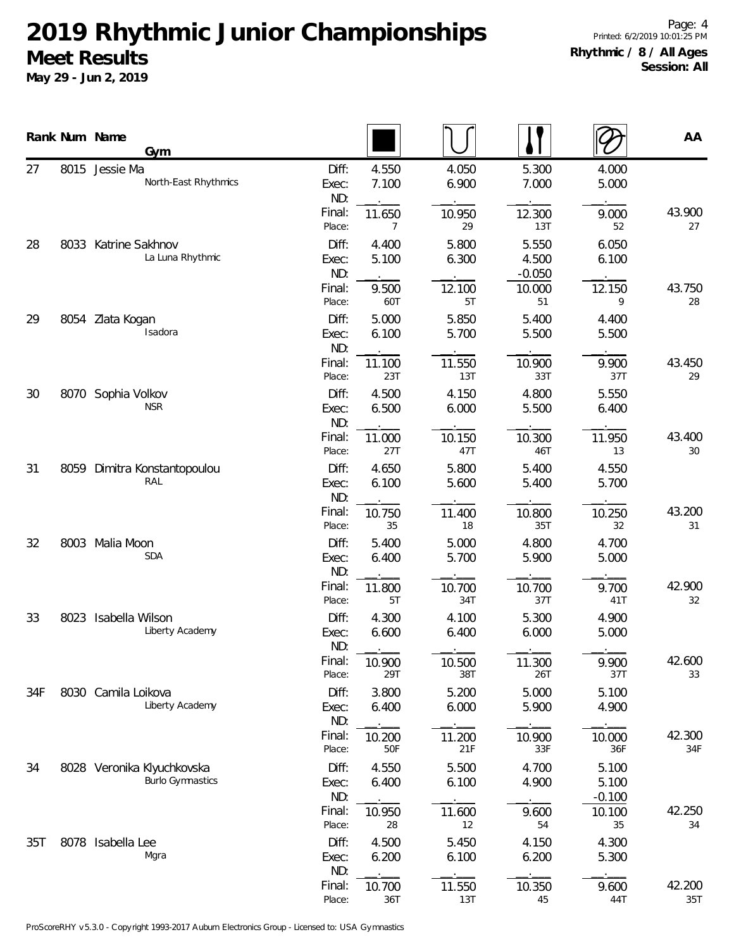|     |      | Rank Num Name<br><b>Gym</b>                           |                       |                |                |                            |                            | AA            |
|-----|------|-------------------------------------------------------|-----------------------|----------------|----------------|----------------------------|----------------------------|---------------|
| 27  | 8015 | Jessie Ma<br>North-East Rhythmics                     | Diff:<br>Exec:<br>ND: | 4.550<br>7.100 | 4.050<br>6.900 | 5.300<br>7.000             | 4.000<br>5.000             |               |
|     |      |                                                       | Final:<br>Place:      | 11.650<br>7    | 10.950<br>29   | 12.300<br>13T              | 9.000<br>52                | 43.900<br>27  |
| 28  |      | 8033 Katrine Sakhnov<br>La Luna Rhythmic              | Diff:<br>Exec:<br>ND: | 4.400<br>5.100 | 5.800<br>6.300 | 5.550<br>4.500<br>$-0.050$ | 6.050<br>6.100             |               |
|     |      |                                                       | Final:<br>Place:      | 9.500<br>60T   | 12.100<br>5T   | 10.000<br>51               | 12.150<br>9                | 43.750<br>28  |
| 29  |      | 8054 Zlata Kogan<br>Isadora                           | Diff:<br>Exec:<br>ND: | 5.000<br>6.100 | 5.850<br>5.700 | 5.400<br>5.500             | 4.400<br>5.500             |               |
|     |      |                                                       | Final:<br>Place:      | 11.100<br>23T  | 11.550<br>13T  | 10.900<br>33T              | 9.900<br>37T               | 43.450<br>29  |
| 30  |      | 8070 Sophia Volkov<br><b>NSR</b>                      | Diff:<br>Exec:<br>ND: | 4.500<br>6.500 | 4.150<br>6.000 | 4.800<br>5.500             | 5.550<br>6.400             |               |
|     |      |                                                       | Final:<br>Place:      | 11.000<br>27T  | 10.150<br>47T  | 10.300<br>46T              | 11.950<br>13               | 43.400<br>30  |
| 31  |      | 8059 Dimitra Konstantopoulou<br>RAL                   | Diff:<br>Exec:<br>ND: | 4.650<br>6.100 | 5.800<br>5.600 | 5.400<br>5.400             | 4.550<br>5.700             |               |
|     |      |                                                       | Final:<br>Place:      | 10.750<br>35   | 11.400<br>18   | 10.800<br>35T              | 10.250<br>32               | 43.200<br>31  |
| 32  | 8003 | Malia Moon<br><b>SDA</b>                              | Diff:<br>Exec:<br>ND: | 5.400<br>6.400 | 5.000<br>5.700 | 4.800<br>5.900             | 4.700<br>5.000             |               |
|     |      |                                                       | Final:<br>Place:      | 11.800<br>5T   | 10.700<br>34T  | 10.700<br>37T              | 9.700<br>41T               | 42.900<br>32  |
| 33  | 8023 | Isabella Wilson<br>Liberty Academy                    | Diff:<br>Exec:<br>ND: | 4.300<br>6.600 | 4.100<br>6.400 | 5.300<br>6.000             | 4.900<br>5.000             |               |
|     |      |                                                       | Final:<br>Place:      | 10.900<br>29T  | 10.500<br>38T  | 11.300<br>26T              | 9.900<br>37T               | 42.600<br>33  |
| 34F |      | 8030 Camila Loikova<br>Liberty Academy                | Diff:<br>Exec:<br>ND: | 3.800<br>6.400 | 5.200<br>6.000 | 5.000<br>5.900             | 5.100<br>4.900             |               |
|     |      |                                                       | Final:<br>Place:      | 10.200<br>50F  | 11.200<br>21F  | 10.900<br>33F              | 10.000<br>36F              | 42.300<br>34F |
| 34  |      | 8028 Veronika Klyuchkovska<br><b>Burlo Gymnastics</b> | Diff:<br>Exec:<br>ND: | 4.550<br>6.400 | 5.500<br>6.100 | 4.700<br>4.900             | 5.100<br>5.100<br>$-0.100$ |               |
|     |      |                                                       | Final:<br>Place:      | 10.950<br>28   | 11.600<br>12   | 9.600<br>54                | 10.100<br>35               | 42.250<br>34  |
| 35T |      | 8078 Isabella Lee<br>Mgra                             | Diff:<br>Exec:<br>ND: | 4.500<br>6.200 | 5.450<br>6.100 | 4.150<br>6.200             | 4.300<br>5.300             |               |
|     |      |                                                       | Final:<br>Place:      | 10.700<br>36T  | 11.550<br>13T  | 10.350<br>45               | 9.600<br>44T               | 42.200<br>35T |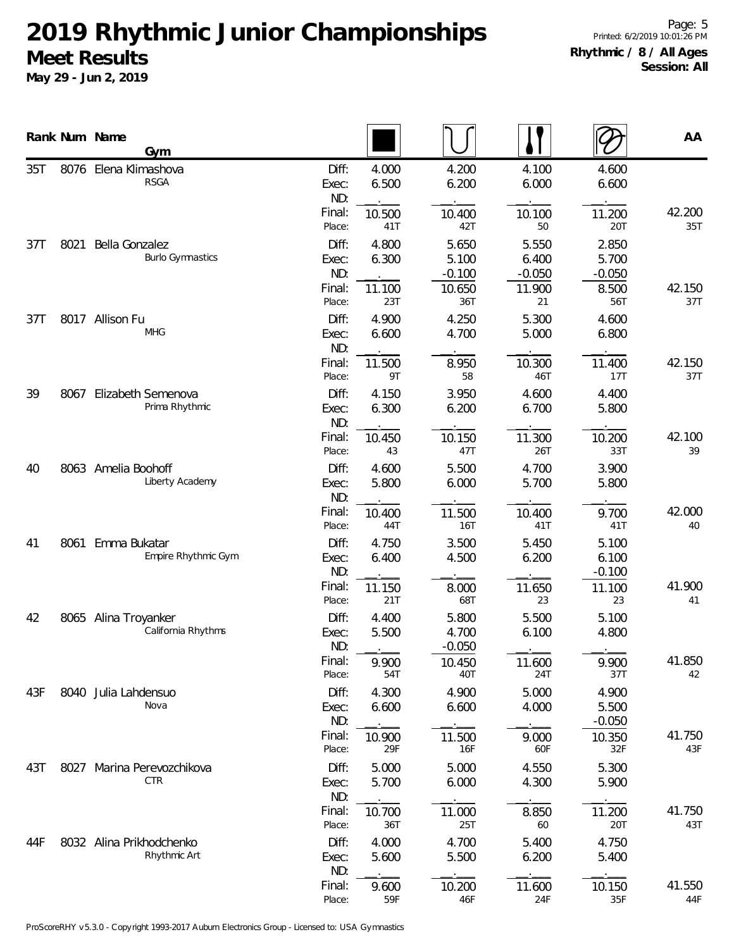|     |      | Rank Num Name<br>Gym                       |                                 |                          |                                      |                            |                            | AA            |
|-----|------|--------------------------------------------|---------------------------------|--------------------------|--------------------------------------|----------------------------|----------------------------|---------------|
| 35T |      | 8076 Elena Klimashova<br><b>RSGA</b>       | Diff:<br>Exec:<br>ND:           | 4.000<br>6.500           | 4.200<br>6.200                       | 4.100<br>6.000             | 4.600<br>6.600             |               |
|     |      |                                            | Final:<br>Place:                | 10.500<br>41T            | 10.400<br>42T                        | 10.100<br>50               | 11.200<br>20T              | 42.200<br>35T |
| 37T | 8021 | Bella Gonzalez<br><b>Burlo Gymnastics</b>  | Diff:<br>Exec:<br>ND:<br>Final: | 4.800<br>6.300<br>11.100 | 5.650<br>5.100<br>$-0.100$<br>10.650 | 5.550<br>6.400<br>$-0.050$ | 2.850<br>5.700<br>$-0.050$ | 42.150        |
|     |      |                                            | Place:                          | 23T                      | 36T                                  | 11.900<br>21               | 8.500<br>56T               | 37T           |
| 37T |      | 8017 Allison Fu<br><b>MHG</b>              | Diff:<br>Exec:<br>ND:           | 4.900<br>6.600           | 4.250<br>4.700                       | 5.300<br>5.000             | 4.600<br>6.800             |               |
|     |      |                                            | Final:<br>Place:                | 11.500<br>9T             | 8.950<br>58                          | 10.300<br>46T              | 11.400<br>17T              | 42.150<br>37T |
| 39  | 8067 | Elizabeth Semenova<br>Prima Rhythmic       | Diff:<br>Exec:<br>ND:           | 4.150<br>6.300           | 3.950<br>6.200                       | 4.600<br>6.700             | 4.400<br>5.800             |               |
|     |      |                                            | Final:<br>Place:                | 10.450<br>43             | 10.150<br>47T                        | 11.300<br>26T              | 10.200<br>33T              | 42.100<br>39  |
| 40  |      | 8063 Amelia Boohoff<br>Liberty Academy     | Diff:<br>Exec:<br>ND:           | 4.600<br>5.800           | 5.500<br>6.000                       | 4.700<br>5.700             | 3.900<br>5.800             |               |
|     |      |                                            | Final:<br>Place:                | 10.400<br>44T            | 11.500<br>16T                        | 10.400<br>41T              | 9.700<br>41T               | 42.000<br>40  |
| 41  | 8061 | Emma Bukatar<br>Empire Rhythmic Gym        | Diff:<br>Exec:<br>ND:           | 4.750<br>6.400           | 3.500<br>4.500                       | 5.450<br>6.200             | 5.100<br>6.100<br>$-0.100$ |               |
|     |      |                                            | Final:<br>Place:                | 11.150<br>21T            | 8.000<br>68T                         | 11.650<br>23               | 11.100<br>23               | 41.900<br>41  |
| 42  |      | 8065 Alina Troyanker<br>California Rhythms | Diff:<br>Exec:<br>ND:           | 4.400<br>5.500           | 5.800<br>4.700<br>$-0.050$           | 5.500<br>6.100             | 5.100<br>4.800             |               |
|     |      |                                            | Final:<br>Place:                | 9.900<br>54T             | 10.450<br>40T                        | 11.600<br>24T              | 9.900<br>37T               | 41.850<br>42  |
| 43F |      | 8040 Julia Lahdensuo<br>Nova               | Diff:<br>Exec:<br>ND:           | 4.300<br>6.600           | 4.900<br>6.600                       | 5.000<br>4.000             | 4.900<br>5.500<br>$-0.050$ |               |
|     |      |                                            | Final:<br>Place:                | 10.900<br>29F            | 11.500<br>16F                        | 9.000<br>60F               | 10.350<br>32F              | 41.750<br>43F |
| 43T | 8027 | Marina Perevozchikova<br><b>CTR</b>        | Diff:<br>Exec:<br>ND:           | 5.000<br>5.700           | 5.000<br>6.000                       | 4.550<br>4.300             | 5.300<br>5.900             |               |
|     |      |                                            | Final:<br>Place:                | 10.700<br>36T            | 11.000<br>25T                        | 8.850<br>60                | 11.200<br>20T              | 41.750<br>43T |
| 44F |      | 8032 Alina Prikhodchenko<br>Rhythmic Art   | Diff:<br>Exec:<br>ND:           | 4.000<br>5.600           | 4.700<br>5.500                       | 5.400<br>6.200             | 4.750<br>5.400             |               |
|     |      |                                            | Final:<br>Place:                | 9.600<br>59F             | 10.200<br>46F                        | 11.600<br>24F              | 10.150<br>35F              | 41.550<br>44F |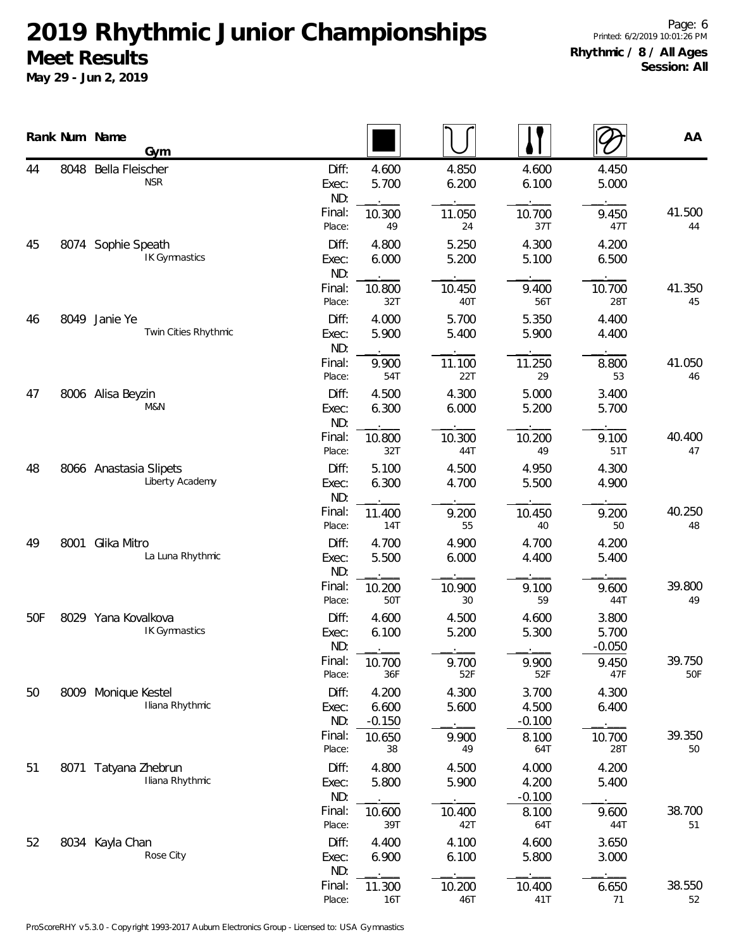|     |      | Rank Num Name<br>Gym                      |                       |                            |                |                            |                            | AA            |
|-----|------|-------------------------------------------|-----------------------|----------------------------|----------------|----------------------------|----------------------------|---------------|
| 44  | 8048 | Bella Fleischer<br><b>NSR</b>             | Diff:<br>Exec:<br>ND: | 4.600<br>5.700             | 4.850<br>6.200 | 4.600<br>6.100             | 4.450<br>5.000             |               |
|     |      |                                           | Final:<br>Place:      | 10.300<br>49               | 11.050<br>24   | 10.700<br>37T              | 9.450<br>47T               | 41.500<br>44  |
| 45  |      | 8074 Sophie Speath<br>IK Gymnastics       | Diff:<br>Exec:<br>ND: | 4.800<br>6.000             | 5.250<br>5.200 | 4.300<br>5.100             | 4.200<br>6.500             |               |
|     |      |                                           | Final:<br>Place:      | 10.800<br>32T              | 10.450<br>40T  | 9.400<br>56T               | 10.700<br>28T              | 41.350<br>45  |
| 46  |      | 8049 Janie Ye<br>Twin Cities Rhythmic     | Diff:<br>Exec:<br>ND: | 4.000<br>5.900             | 5.700<br>5.400 | 5.350<br>5.900             | 4.400<br>4.400             |               |
|     |      |                                           | Final:<br>Place:      | 9.900<br>54T               | 11.100<br>22T  | 11.250<br>29               | 8.800<br>53                | 41.050<br>46  |
| 47  |      | 8006 Alisa Beyzin<br>M&N                  | Diff:<br>Exec:<br>ND: | 4.500<br>6.300             | 4.300<br>6.000 | 5.000<br>5.200             | 3.400<br>5.700             |               |
|     |      |                                           | Final:<br>Place:      | 10.800<br>32T              | 10.300<br>44T  | 10.200<br>49               | 9.100<br>51T               | 40.400<br>47  |
| 48  |      | 8066 Anastasia Slipets<br>Liberty Academy | Diff:<br>Exec:<br>ND: | 5.100<br>6.300             | 4.500<br>4.700 | 4.950<br>5.500             | 4.300<br>4.900             |               |
|     |      |                                           | Final:<br>Place:      | 11.400<br>14T              | 9.200<br>55    | 10.450<br>40               | 9.200<br>50                | 40.250<br>48  |
| 49  | 8001 | Glika Mitro<br>La Luna Rhythmic           | Diff:<br>Exec:<br>ND: | 4.700<br>5.500             | 4.900<br>6.000 | 4.700<br>4.400             | 4.200<br>5.400             |               |
|     |      |                                           | Final:<br>Place:      | 10.200<br>50T              | 10.900<br>30   | 9.100<br>59                | 9.600<br>44T               | 39.800<br>49  |
| 50F |      | 8029 Yana Kovalkova<br>IK Gymnastics      | Diff:<br>Exec:<br>ND: | 4.600<br>6.100             | 4.500<br>5.200 | 4.600<br>5.300             | 3.800<br>5.700<br>$-0.050$ |               |
|     |      |                                           | Final:<br>Place:      | 10.700<br>36F              | 9.700<br>52F   | 9.900<br>52F               | 9.450<br>47F               | 39.750<br>50F |
| 50  |      | 8009 Monique Kestel<br>Iliana Rhythmic    | Diff:<br>Exec:<br>ND: | 4.200<br>6.600<br>$-0.150$ | 4.300<br>5.600 | 3.700<br>4.500<br>$-0.100$ | 4.300<br>6.400             |               |
|     |      |                                           | Final:<br>Place:      | 10.650<br>38               | 9.900<br>49    | 8.100<br>64T               | 10.700<br>28T              | 39.350<br>50  |
| 51  |      | 8071 Tatyana Zhebrun<br>Iliana Rhythmic   | Diff:<br>Exec:<br>ND: | 4.800<br>5.800             | 4.500<br>5.900 | 4.000<br>4.200<br>$-0.100$ | 4.200<br>5.400             |               |
|     |      |                                           | Final:<br>Place:      | 10.600<br>39T              | 10.400<br>42T  | 8.100<br>64T               | 9.600<br>44T               | 38.700<br>51  |
| 52  |      | 8034 Kayla Chan<br>Rose City              | Diff:<br>Exec:<br>ND: | 4.400<br>6.900             | 4.100<br>6.100 | 4.600<br>5.800             | 3.650<br>3.000             |               |
|     |      |                                           | Final:<br>Place:      | 11.300<br>16T              | 10.200<br>46T  | 10.400<br>41T              | 6.650<br>71                | 38.550<br>52  |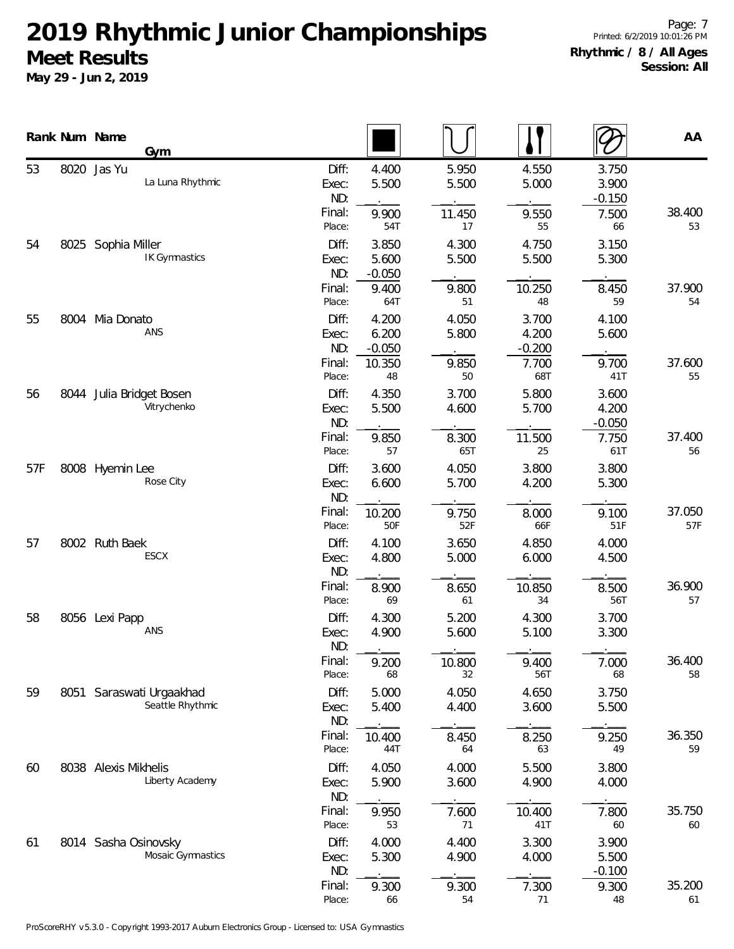|     |      | Rank Num Name<br>Gym                         |                       |                            |                |                            |                            | AA            |
|-----|------|----------------------------------------------|-----------------------|----------------------------|----------------|----------------------------|----------------------------|---------------|
| 53  |      | 8020 Jas Yu<br>La Luna Rhythmic              | Diff:<br>Exec:<br>ND: | 4.400<br>5.500             | 5.950<br>5.500 | 4.550<br>5.000             | 3.750<br>3.900<br>$-0.150$ |               |
|     |      |                                              | Final:<br>Place:      | 9.900<br>54T               | 11.450<br>17   | 9.550<br>55                | 7.500<br>66                | 38.400<br>53  |
| 54  |      | 8025 Sophia Miller<br>IK Gymnastics          | Diff:<br>Exec:<br>ND: | 3.850<br>5.600<br>$-0.050$ | 4.300<br>5.500 | 4.750<br>5.500             | 3.150<br>5.300             |               |
|     |      |                                              | Final:<br>Place:      | 9.400<br>64T               | 9.800<br>51    | 10.250<br>48               | 8.450<br>59                | 37.900<br>54  |
| 55  |      | 8004 Mia Donato<br>ANS                       | Diff:<br>Exec:<br>ND: | 4.200<br>6.200<br>$-0.050$ | 4.050<br>5.800 | 3.700<br>4.200<br>$-0.200$ | 4.100<br>5.600             |               |
|     |      |                                              | Final:<br>Place:      | 10.350<br>48               | 9.850<br>50    | 7.700<br>68T               | 9.700<br>41T               | 37.600<br>55  |
| 56  | 8044 | Julia Bridget Bosen<br>Vitrychenko           | Diff:<br>Exec:<br>ND: | 4.350<br>5.500             | 3.700<br>4.600 | 5.800<br>5.700             | 3.600<br>4.200<br>$-0.050$ |               |
|     |      |                                              | Final:<br>Place:      | 9.850<br>57                | 8.300<br>65T   | 11.500<br>25               | 7.750<br>61T               | 37.400<br>56  |
| 57F |      | 8008 Hyemin Lee<br>Rose City                 | Diff:<br>Exec:<br>ND: | 3.600<br>6.600             | 4.050<br>5.700 | 3.800<br>4.200             | 3.800<br>5.300             |               |
|     |      |                                              | Final:<br>Place:      | 10.200<br>50F              | 9.750<br>52F   | 8.000<br>66F               | 9.100<br>51F               | 37.050<br>57F |
| 57  |      | 8002 Ruth Baek<br>ESCX                       | Diff:<br>Exec:<br>ND: | 4.100<br>4.800             | 3.650<br>5.000 | 4.850<br>6.000             | 4.000<br>4.500             |               |
|     |      |                                              | Final:<br>Place:      | 8.900<br>69                | 8.650<br>61    | 10.850<br>34               | 8.500<br>56T               | 36.900<br>57  |
| 58  |      | 8056 Lexi Papp<br>ANS                        | Diff:<br>Exec:<br>ND: | 4.300<br>4.900             | 5.200<br>5.600 | 4.300<br>5.100             | 3.700<br>3.300             |               |
|     |      |                                              | Final:<br>Place:      | 9.200<br>68                | 10.800<br>32   | 9.400<br>56T               | 7.000<br>68                | 36.400<br>58  |
| 59  |      | 8051 Saraswati Urgaakhad<br>Seattle Rhythmic | Diff:<br>Exec:<br>ND: | 5.000<br>5.400             | 4.050<br>4.400 | 4.650<br>3.600             | 3.750<br>5.500             |               |
|     |      |                                              | Final:<br>Place:      | 10.400<br>44T              | 8.450<br>64    | 8.250<br>63                | 9.250<br>49                | 36.350<br>59  |
| 60  |      | 8038 Alexis Mikhelis<br>Liberty Academy      | Diff:<br>Exec:<br>ND: | 4.050<br>5.900             | 4.000<br>3.600 | 5.500<br>4.900             | 3.800<br>4.000             |               |
|     |      |                                              | Final:<br>Place:      | 9.950<br>53                | 7.600<br>71    | 10.400<br>41T              | 7.800<br>60                | 35.750<br>60  |
| 61  |      | 8014 Sasha Osinovsky<br>Mosaic Gymnastics    | Diff:<br>Exec:<br>ND: | 4.000<br>5.300             | 4.400<br>4.900 | 3.300<br>4.000             | 3.900<br>5.500<br>$-0.100$ |               |
|     |      |                                              | Final:<br>Place:      | 9.300<br>66                | 9.300<br>54    | 7.300<br>71                | 9.300<br>48                | 35.200<br>61  |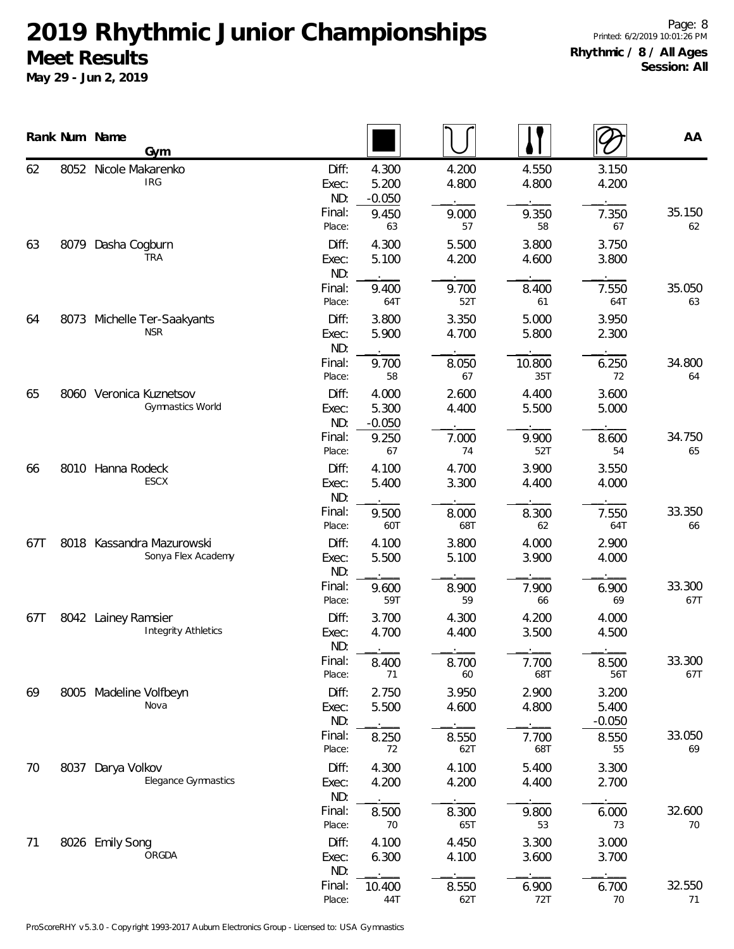|     |      | Rank Num Name<br>Gym                               |                       |                            |                |                |                            | AA            |
|-----|------|----------------------------------------------------|-----------------------|----------------------------|----------------|----------------|----------------------------|---------------|
| 62  |      | 8052 Nicole Makarenko<br><b>IRG</b>                | Diff:<br>Exec:<br>ND: | 4.300<br>5.200<br>$-0.050$ | 4.200<br>4.800 | 4.550<br>4.800 | 3.150<br>4.200             |               |
|     |      |                                                    | Final:<br>Place:      | 9.450<br>63                | 9.000<br>57    | 9.350<br>58    | 7.350<br>67                | 35.150<br>62  |
| 63  | 8079 | Dasha Cogburn<br><b>TRA</b>                        | Diff:<br>Exec:<br>ND: | 4.300<br>5.100             | 5.500<br>4.200 | 3.800<br>4.600 | 3.750<br>3.800             |               |
|     |      |                                                    | Final:<br>Place:      | 9.400<br>64T               | 9.700<br>52T   | 8.400<br>61    | 7.550<br>64T               | 35.050<br>63  |
| 64  | 8073 | Michelle Ter-Saakyants<br><b>NSR</b>               | Diff:<br>Exec:<br>ND: | 3.800<br>5.900             | 3.350<br>4.700 | 5.000<br>5.800 | 3.950<br>2.300             |               |
|     |      |                                                    | Final:<br>Place:      | 9.700<br>58                | 8.050<br>67    | 10.800<br>35T  | 6.250<br>72                | 34.800<br>64  |
| 65  |      | 8060 Veronica Kuznetsov<br><b>Gymnastics World</b> | Diff:<br>Exec:<br>ND: | 4.000<br>5.300<br>$-0.050$ | 2.600<br>4.400 | 4.400<br>5.500 | 3.600<br>5.000             |               |
|     |      |                                                    | Final:<br>Place:      | 9.250<br>67                | 7.000<br>74    | 9.900<br>52T   | 8.600<br>54                | 34.750<br>65  |
| 66  |      | 8010 Hanna Rodeck<br>ESCX                          | Diff:<br>Exec:<br>ND: | 4.100<br>5.400             | 4.700<br>3.300 | 3.900<br>4.400 | 3.550<br>4.000             |               |
|     |      |                                                    | Final:<br>Place:      | 9.500<br>60T               | 8.000<br>68T   | 8.300<br>62    | 7.550<br>64T               | 33.350<br>66  |
| 67T |      | 8018 Kassandra Mazurowski<br>Sonya Flex Academy    | Diff:<br>Exec:<br>ND: | 4.100<br>5.500             | 3.800<br>5.100 | 4.000<br>3.900 | 2.900<br>4.000             |               |
|     |      |                                                    | Final:<br>Place:      | 9.600<br>59T               | 8.900<br>59    | 7.900<br>66    | 6.900<br>69                | 33.300<br>67T |
| 67T |      | 8042 Lainey Ramsier<br><b>Integrity Athletics</b>  | Diff:<br>Exec:<br>ND: | 3.700<br>4.700             | 4.300<br>4.400 | 4.200<br>3.500 | 4.000<br>4.500             |               |
|     |      |                                                    | Final:<br>Place:      | 8.400<br>71                | 8.700<br>60    | 7.700<br>68T   | 8.500<br>56T               | 33.300<br>67T |
| 69  |      | 8005 Madeline Volfbeyn<br>Nova                     | Diff:<br>Exec:<br>ND: | 2.750<br>5.500             | 3.950<br>4.600 | 2.900<br>4.800 | 3.200<br>5.400<br>$-0.050$ |               |
|     |      |                                                    | Final:<br>Place:      | 8.250<br>72                | 8.550<br>62T   | 7.700<br>68T   | 8.550<br>55                | 33.050<br>69  |
| 70  |      | 8037 Darya Volkov<br><b>Elegance Gymnastics</b>    | Diff:<br>Exec:<br>ND: | 4.300<br>4.200             | 4.100<br>4.200 | 5.400<br>4.400 | 3.300<br>2.700             |               |
|     |      |                                                    | Final:<br>Place:      | 8.500<br>70                | 8.300<br>65T   | 9.800<br>53    | 6.000<br>73                | 32.600<br>70  |
| 71  |      | 8026 Emily Song<br>ORGDA                           | Diff:<br>Exec:<br>ND: | 4.100<br>6.300             | 4.450<br>4.100 | 3.300<br>3.600 | 3.000<br>3.700             |               |
|     |      |                                                    | Final:<br>Place:      | 10.400<br>44T              | 8.550<br>62T   | 6.900<br>72T   | 6.700<br>70                | 32.550<br>71  |